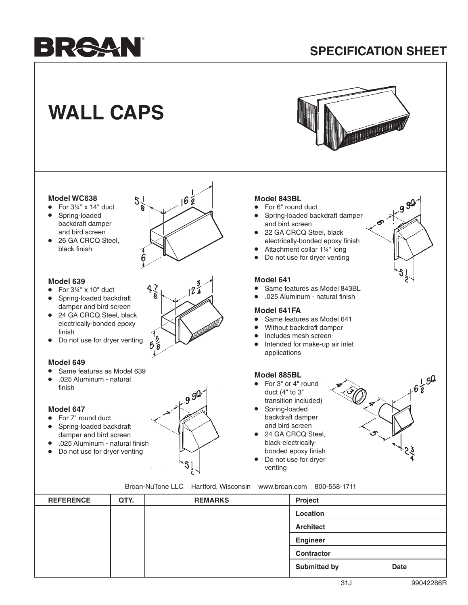# BRAAN

### **SPECIFICATION SHEET**

## **WALL CAPS**



#### **Model WC638**

- For  $3\frac{1}{4}$ " x 14" duct
- Spring-loaded backdraft damper and bird screen
- 26 GA CRCQ Steel. black finish



#### **Model 639**

- For  $3\frac{1}{4}$ " x 10" duct
- Spring-loaded backdraft damper and bird screen
- 24 GA CRCQ Steel, black electrically-bonded epoxy finish
- Do not use for dryer venting

#### **Model 649**

- Same features as Model 639
- .025 Aluminum natural finish

#### **Model 647**

- For 7" round duct
- Spring-loaded backdraft damper and bird screen
- .025 Aluminum natural finish
- Do not use for dryer venting



#### **Model 843BL**

- For 6" round duct
- Spring-loaded backdraft damper and bird screen
- 22 GA CRCQ Steel, black electrically-bonded epoxy finish
- Attachment collar 1¼" long<br>• Do not use for drver venting
- Do not use for dryer venting

#### **Model 641**

- Same features as Model 843BL
- .025 Aluminum natural finish

#### **Model 641FA**

- Same features as Model 641
- Without backdraft damper
- Includes mesh screen
- Intended for make-up air inlet applications

#### **Model 885BL**

- For 3" or 4" round duct (4" to 3" transition included)
- Spring-loaded backdraft damper and bird screen
- 24 GA CRCQ Steel. black electricallybonded epoxy finish
- Do not use for dryer venting



Broan-NuTone LLC Hartford, Wisconsin www.broan.com 800-558-1711

| <b>REFERENCE</b> | QTY. | <b>REMARKS</b> | Project             |             |
|------------------|------|----------------|---------------------|-------------|
|                  |      |                | Location            |             |
|                  |      |                | <b>Architect</b>    |             |
|                  |      |                | <b>Engineer</b>     |             |
|                  |      |                | Contractor          |             |
|                  |      |                | <b>Submitted by</b> | <b>Date</b> |